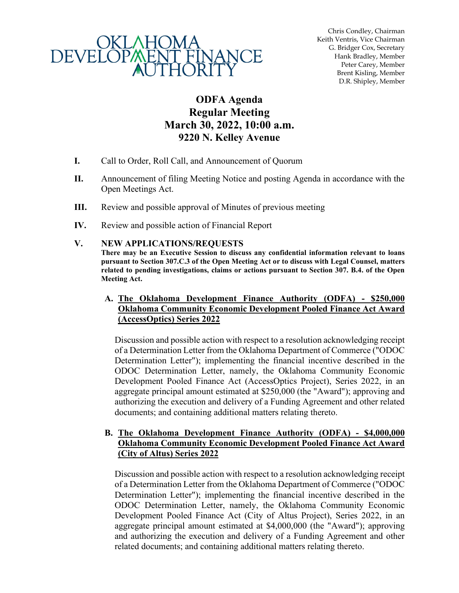

Chris Condley, Chairman Keith Ventris, Vice Chairman G. Bridger Cox, Secretary Hank Bradley, Member Peter Carey, Member Brent Kisling, Member D.R. Shipley, Member

# **ODFA Agenda Regular Meeting March 30, 2022, 10:00 a.m. 9220 N. Kelley Avenue**

- **I.** Call to Order, Roll Call, and Announcement of Quorum
- **II.** Announcement of filing Meeting Notice and posting Agenda in accordance with the Open Meetings Act.
- **III.** Review and possible approval of Minutes of previous meeting
- **IV.** Review and possible action of Financial Report

#### **V. NEW APPLICATIONS/REQUESTS**

**There may be an Executive Session to discuss any confidential information relevant to loans pursuant to Section 307.C.3 of the Open Meeting Act or to discuss with Legal Counsel, matters related to pending investigations, claims or actions pursuant to Section 307. B.4. of the Open Meeting Act.**

### **A. The Oklahoma Development Finance Authority (ODFA) - \$250,000 Oklahoma Community Economic Development Pooled Finance Act Award (AccessOptics) Series 2022**

Discussion and possible action with respect to a resolution acknowledging receipt of a Determination Letter from the Oklahoma Department of Commerce ("ODOC Determination Letter"); implementing the financial incentive described in the ODOC Determination Letter, namely, the Oklahoma Community Economic Development Pooled Finance Act (AccessOptics Project), Series 2022, in an aggregate principal amount estimated at \$250,000 (the "Award"); approving and authorizing the execution and delivery of a Funding Agreement and other related documents; and containing additional matters relating thereto.

#### **B. The Oklahoma Development Finance Authority (ODFA) - \$4,000,000 Oklahoma Community Economic Development Pooled Finance Act Award (City of Altus) Series 2022**

Discussion and possible action with respect to a resolution acknowledging receipt of a Determination Letter from the Oklahoma Department of Commerce ("ODOC Determination Letter"); implementing the financial incentive described in the ODOC Determination Letter, namely, the Oklahoma Community Economic Development Pooled Finance Act (City of Altus Project), Series 2022, in an aggregate principal amount estimated at \$4,000,000 (the "Award"); approving and authorizing the execution and delivery of a Funding Agreement and other related documents; and containing additional matters relating thereto.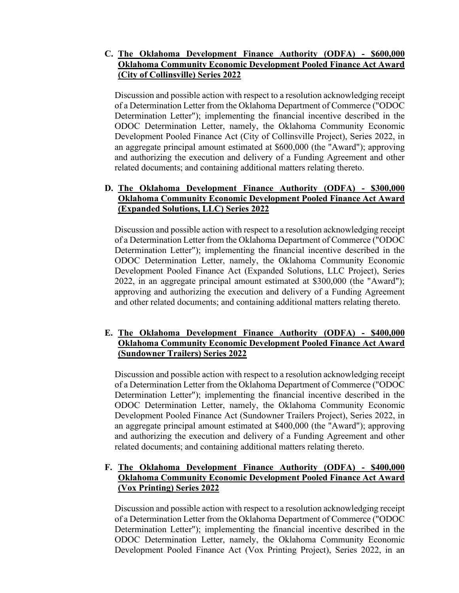# **C. The Oklahoma Development Finance Authority (ODFA) - \$600,000 Oklahoma Community Economic Development Pooled Finance Act Award (City of Collinsville) Series 2022**

Discussion and possible action with respect to a resolution acknowledging receipt of a Determination Letter from the Oklahoma Department of Commerce ("ODOC Determination Letter"); implementing the financial incentive described in the ODOC Determination Letter, namely, the Oklahoma Community Economic Development Pooled Finance Act (City of Collinsville Project), Series 2022, in an aggregate principal amount estimated at \$600,000 (the "Award"); approving and authorizing the execution and delivery of a Funding Agreement and other related documents; and containing additional matters relating thereto.

# **D. The Oklahoma Development Finance Authority (ODFA) - \$300,000 Oklahoma Community Economic Development Pooled Finance Act Award (Expanded Solutions, LLC) Series 2022**

Discussion and possible action with respect to a resolution acknowledging receipt of a Determination Letter from the Oklahoma Department of Commerce ("ODOC Determination Letter"); implementing the financial incentive described in the ODOC Determination Letter, namely, the Oklahoma Community Economic Development Pooled Finance Act (Expanded Solutions, LLC Project), Series 2022, in an aggregate principal amount estimated at \$300,000 (the "Award"); approving and authorizing the execution and delivery of a Funding Agreement and other related documents; and containing additional matters relating thereto.

### **E. The Oklahoma Development Finance Authority (ODFA) - \$400,000 Oklahoma Community Economic Development Pooled Finance Act Award (Sundowner Trailers) Series 2022**

Discussion and possible action with respect to a resolution acknowledging receipt of a Determination Letter from the Oklahoma Department of Commerce ("ODOC Determination Letter"); implementing the financial incentive described in the ODOC Determination Letter, namely, the Oklahoma Community Economic Development Pooled Finance Act (Sundowner Trailers Project), Series 2022, in an aggregate principal amount estimated at \$400,000 (the "Award"); approving and authorizing the execution and delivery of a Funding Agreement and other related documents; and containing additional matters relating thereto.

# **F. The Oklahoma Development Finance Authority (ODFA) - \$400,000 Oklahoma Community Economic Development Pooled Finance Act Award (Vox Printing) Series 2022**

Discussion and possible action with respect to a resolution acknowledging receipt of a Determination Letter from the Oklahoma Department of Commerce ("ODOC Determination Letter"); implementing the financial incentive described in the ODOC Determination Letter, namely, the Oklahoma Community Economic Development Pooled Finance Act (Vox Printing Project), Series 2022, in an